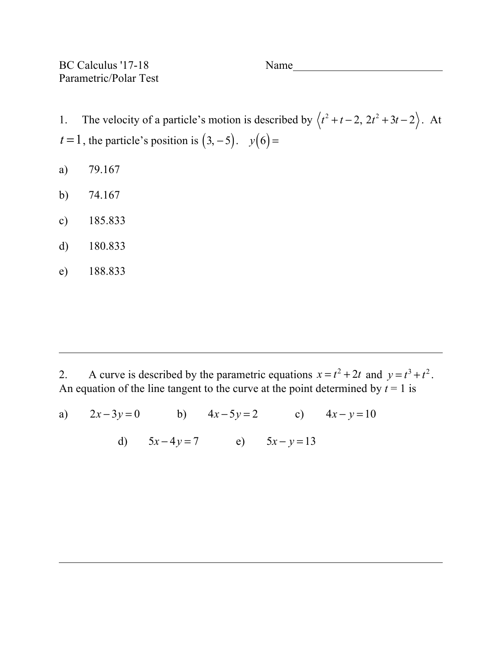BC Calculus '17-18 Name Parametric/Polar Test

1. The velocity of a particle's motion is described by  $\langle t^2 + t - 2, 2t^2 + 3t - 2 \rangle$ . At *t* = 1, the particle's position is  $(3, -5)$ . *y*(6) =

- a) 79.167
- b) 74.167
- c) 185.833
- d) 180.833
- e) 188.833

2. A curve is described by the parametric equations  $x = t^2 + 2t$  and  $y = t^3 + t^2$ . An equation of the line tangent to the curve at the point determined by  $t = 1$  is

a) 
$$
2x-3y=0
$$
 b)  $4x-5y=2$  c)  $4x-y=10$ 

d) 
$$
5x-4y=7
$$
 e)  $5x - y = 13$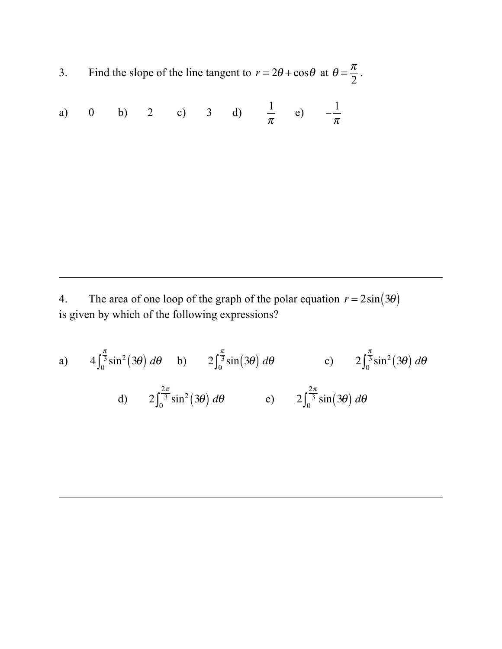3. Find the slope of the line tangent to  $r = 2\theta + \cos\theta$  at  $\theta = \frac{\pi}{2}$ .

a) 0 b) 2 c) 3 d) 
$$
\frac{1}{\pi}
$$
 e)  $-\frac{1}{\pi}$ 

4. The area of one loop of the graph of the polar equation  $r = 2\sin(3\theta)$ is given by which of the following expressions?

a) 
$$
4\int_0^{\frac{\pi}{3}} \sin^2(3\theta) d\theta
$$
 b)  $2\int_0^{\frac{\pi}{3}} \sin(3\theta) d\theta$  c)  $2\int_0^{\frac{\pi}{3}} \sin^2(3\theta) d\theta$   
d)  $2\int_0^{\frac{2\pi}{3}} \sin^2(3\theta) d\theta$  e)  $2\int_0^{\frac{2\pi}{3}} \sin(3\theta) d\theta$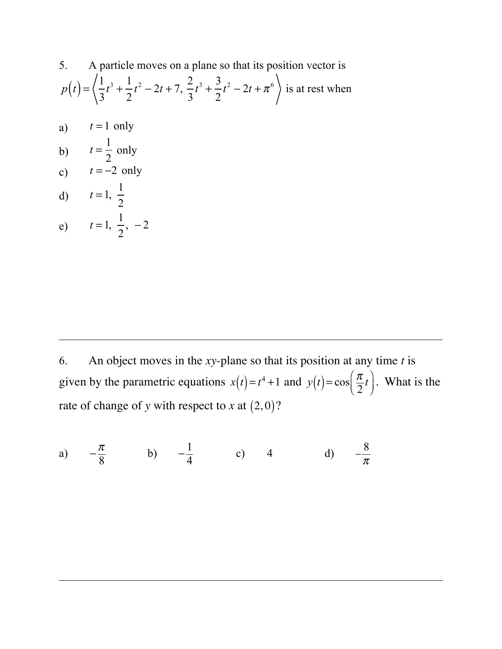5. A particle moves on a plane so that its position vector is  
\n
$$
p(t) = \left\langle \frac{1}{3}t^3 + \frac{1}{2}t^2 - 2t + 7, \frac{2}{3}t^3 + \frac{3}{2}t^2 - 2t + \pi^6 \right\rangle
$$
 is at rest when  
\na)  $t = 1$  only

b) 
$$
t = \frac{1}{2}
$$
 only  
c)  $t = -2$  only

d) 
$$
t = 1, \frac{1}{2}
$$

e) 
$$
t=1, \frac{1}{2}, -2
$$

6. An object moves in the *xy*-plane so that its position at any time *t* is given by the parametric equations  $x(t) = t^4 + 1$  and  $y(t) = \cos\left(\frac{\pi}{2}t\right)$ ⎞ ⎠ <sup>⎟</sup> . What is the rate of change of *y* with respect to *x* at  $(2,0)$ ?

a) 
$$
-\frac{\pi}{8}
$$
 b)  $-\frac{1}{4}$  c) 4 d)  $-\frac{8}{\pi}$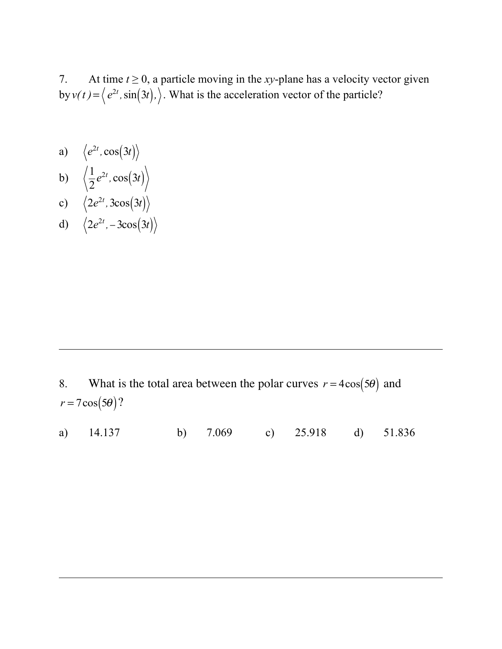7. At time  $t \ge 0$ , a particle moving in the *xy*-plane has a velocity vector given by  $v(t) = \langle e^{2t}, \sin(3t), \rangle$ . What is the acceleration vector of the particle?

- a)  $\left\langle e^{2t}, \cos(3t) \right\rangle$
- b)  $\left(\frac{1}{2}\right)$ 2  $e^{2t}$ ,  $\cos(3t)$ c)  $\left(2e^{2t}, 3\cos(3t)\right)$
- d)  $\langle 2e^{2t}, -3\cos(3t) \rangle$

- 8. What is the total area between the polar curves  $r = 4\cos(5\theta)$  and  $r = 7\cos(5\theta)$ ?
- a) 14.137 b) 7.069 c) 25.918 d) 51.836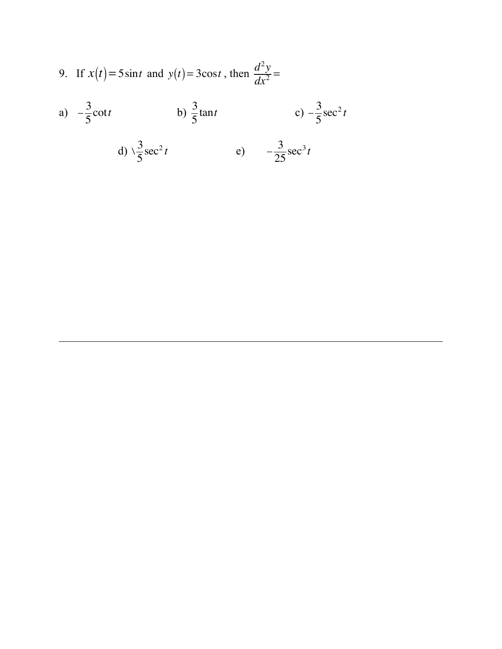9. If 
$$
x(t) = 5\sin t
$$
 and  $y(t) = 3\cos t$ , then  $\frac{d^2y}{dx^2} =$ 

a) 
$$
-\frac{3}{5}\cot t
$$
 b)  $\frac{3}{5}\tan t$  c)  $-\frac{3}{5}\sec^2 t$   
d)  $\sqrt{\frac{3}{5}}\sec^2 t$  e)  $-\frac{3}{25}\sec^3 t$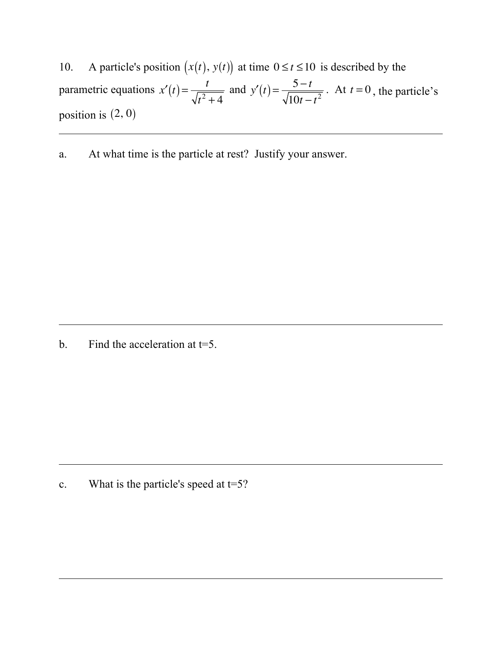10. A particle's position  $(x(t), y(t))$  at time  $0 \le t \le 10$  is described by the parametric equations  $x'(t) = \frac{t}{\sqrt{2}}$  $t^2 + 4$ and  $y'(t) = \frac{5-t}{\sqrt{2}}$  $\frac{5-t}{10t-t^2}$ . At *t* = 0, the particle's position is  $(2, 0)$ 

a. At what time is the particle at rest? Justify your answer.

b. Find the acceleration at  $t=5$ .

c. What is the particle's speed at  $t=5$ ?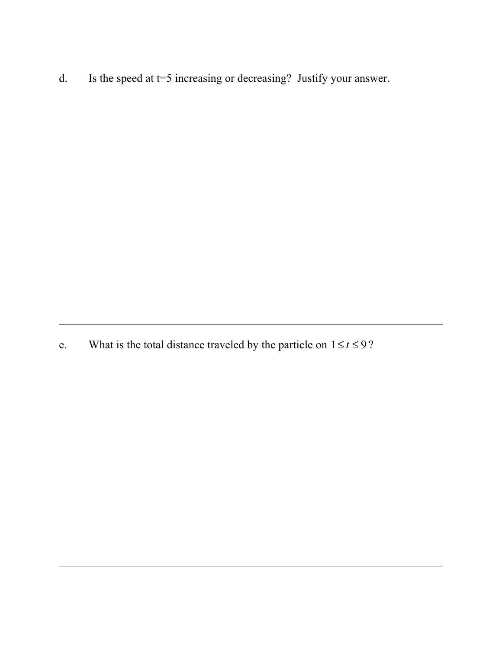d. Is the speed at t=5 increasing or decreasing? Justify your answer.

e. What is the total distance traveled by the particle on  $1 \le t \le 9$ ?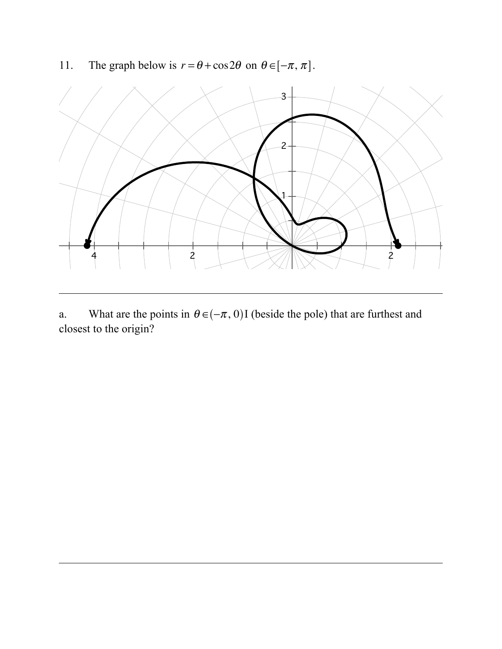11. The graph below is  $r = \theta + \cos 2\theta$  on  $\theta \in [-\pi, \pi]$ .



a. What are the points in  $\theta \in (-\pi, 0)$  (beside the pole) that are furthest and closest to the origin?